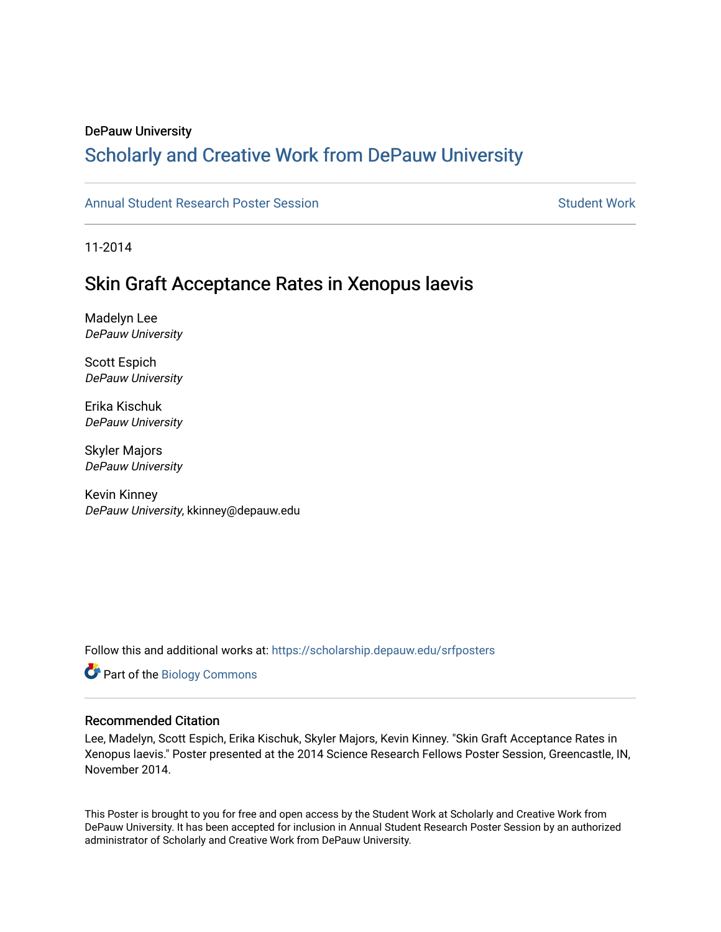#### DePauw University

# Scholarly and [Creative Work from DePauw Univ](https://scholarship.depauw.edu/)ersity

### [Annual Student Research Poster Session](https://scholarship.depauw.edu/srfposters) Student Work

11-2014

## Skin Graft Acceptance Rates in Xenopus laevis

Madelyn Lee DePauw University

Scott Espich DePauw University

Erika Kischuk DePauw University

Skyler Majors DePauw University

Kevin Kinney DePauw University, kkinney@depauw.edu

Follow this and additional works at: [https://scholarship.depauw.edu/srfposters](https://scholarship.depauw.edu/srfposters?utm_source=scholarship.depauw.edu%2Fsrfposters%2F10&utm_medium=PDF&utm_campaign=PDFCoverPages) 

Part of the [Biology Commons](https://network.bepress.com/hgg/discipline/41?utm_source=scholarship.depauw.edu%2Fsrfposters%2F10&utm_medium=PDF&utm_campaign=PDFCoverPages) 

#### Recommended Citation

Lee, Madelyn, Scott Espich, Erika Kischuk, Skyler Majors, Kevin Kinney. "Skin Graft Acceptance Rates in Xenopus laevis." Poster presented at the 2014 Science Research Fellows Poster Session, Greencastle, IN, November 2014.

This Poster is brought to you for free and open access by the Student Work at Scholarly and Creative Work from DePauw University. It has been accepted for inclusion in Annual Student Research Poster Session by an authorized administrator of Scholarly and Creative Work from DePauw University.